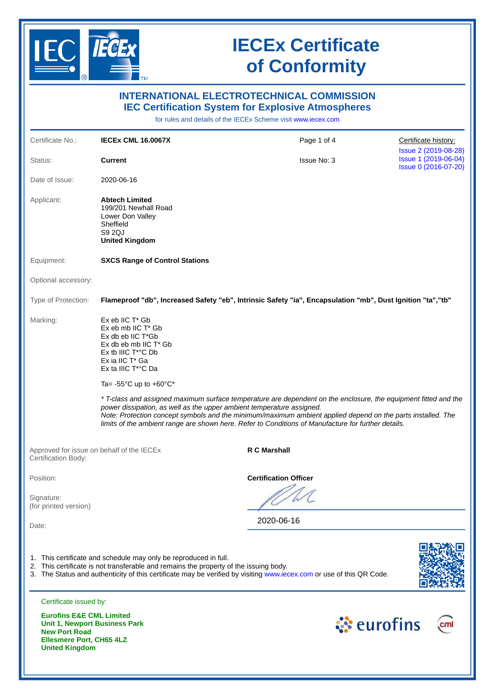

**United Kingdom**

# **IECEx Certificate of Conformity**

|                                                                                                | .                                                                                                                                                                                           | <b>INTERNATIONAL ELECTROTECHNICAL COMMISSION</b><br><b>IEC Certification System for Explosive Atmospheres</b><br>for rules and details of the IECEx Scheme visit www.iecex.com                                                                                                                                                                                                                                 |                                                                      |
|------------------------------------------------------------------------------------------------|---------------------------------------------------------------------------------------------------------------------------------------------------------------------------------------------|----------------------------------------------------------------------------------------------------------------------------------------------------------------------------------------------------------------------------------------------------------------------------------------------------------------------------------------------------------------------------------------------------------------|----------------------------------------------------------------------|
| Certificate No.:                                                                               | <b>IECEX CML 16.0067X</b>                                                                                                                                                                   | Page 1 of 4                                                                                                                                                                                                                                                                                                                                                                                                    | Certificate history:                                                 |
| Status:                                                                                        | <b>Current</b>                                                                                                                                                                              | <b>Issue No: 3</b>                                                                                                                                                                                                                                                                                                                                                                                             | Issue 2 (2019-08-28)<br>Issue 1 (2019-06-04)<br>Issue 0 (2016-07-20) |
| Date of Issue:                                                                                 | 2020-06-16                                                                                                                                                                                  |                                                                                                                                                                                                                                                                                                                                                                                                                |                                                                      |
| Applicant:                                                                                     | <b>Abtech Limited</b><br>199/201 Newhall Road<br>Lower Don Valley<br>Sheffield<br>S9 2QJ<br><b>United Kingdom</b>                                                                           |                                                                                                                                                                                                                                                                                                                                                                                                                |                                                                      |
| Equipment:                                                                                     | <b>SXCS Range of Control Stations</b>                                                                                                                                                       |                                                                                                                                                                                                                                                                                                                                                                                                                |                                                                      |
| Optional accessory:                                                                            |                                                                                                                                                                                             |                                                                                                                                                                                                                                                                                                                                                                                                                |                                                                      |
| Type of Protection:                                                                            |                                                                                                                                                                                             | Flameproof "db", Increased Safety "eb", Intrinsic Safety "ia", Encapsulation "mb", Dust Ignition "ta", "tb"                                                                                                                                                                                                                                                                                                    |                                                                      |
| Marking:                                                                                       | $Ex$ eb IIC $T^*$ Gb<br>Ex eb mb IIC T* Gb<br>$Ex$ db eb IIC $T^*Gb$<br>$Ex$ db eb mb IIC $T^*$ Gb<br>Ex tb IIIC T <sup>*</sup> °C Db<br>Ex ia IIC T* Ga<br>Ex ta IIIC T <sup>*</sup> °C Da |                                                                                                                                                                                                                                                                                                                                                                                                                |                                                                      |
|                                                                                                | Ta= -55 $^{\circ}$ C up to +60 $^{\circ}$ C*                                                                                                                                                |                                                                                                                                                                                                                                                                                                                                                                                                                |                                                                      |
|                                                                                                |                                                                                                                                                                                             | * T-class and assigned maximum surface temperature are dependent on the enclosure, the equipment fitted and the<br>power dissipation, as well as the upper ambient temperature assigned.<br>Note: Protection concept symbols and the minimum/maximum ambient applied depend on the parts installed. The<br>limits of the ambient range are shown here. Refer to Conditions of Manufacture for further details. |                                                                      |
| Certification Body:                                                                            | Approved for issue on behalf of the IECEx                                                                                                                                                   | R C Marshall                                                                                                                                                                                                                                                                                                                                                                                                   |                                                                      |
| Position:                                                                                      |                                                                                                                                                                                             | <b>Certification Officer</b>                                                                                                                                                                                                                                                                                                                                                                                   |                                                                      |
| Signature:                                                                                     |                                                                                                                                                                                             |                                                                                                                                                                                                                                                                                                                                                                                                                |                                                                      |
| (for printed version)<br>Date:                                                                 |                                                                                                                                                                                             | 2020-06-16                                                                                                                                                                                                                                                                                                                                                                                                     |                                                                      |
|                                                                                                |                                                                                                                                                                                             |                                                                                                                                                                                                                                                                                                                                                                                                                |                                                                      |
|                                                                                                | 1. This certificate and schedule may only be reproduced in full.<br>2. This certificate is not transferable and remains the property of the issuing body.                                   | 3. The Status and authenticity of this certificate may be verified by visiting www.iecex.com or use of this QR Code.                                                                                                                                                                                                                                                                                           |                                                                      |
| Certificate issued by:                                                                         |                                                                                                                                                                                             |                                                                                                                                                                                                                                                                                                                                                                                                                |                                                                      |
| <b>Eurofins E&amp;E CML Limited</b><br><b>New Port Road</b><br><b>Ellesmere Port, CH65 4LZ</b> | <b>Unit 1, Newport Business Park</b>                                                                                                                                                        |                                                                                                                                                                                                                                                                                                                                                                                                                | ं eurofins                                                           |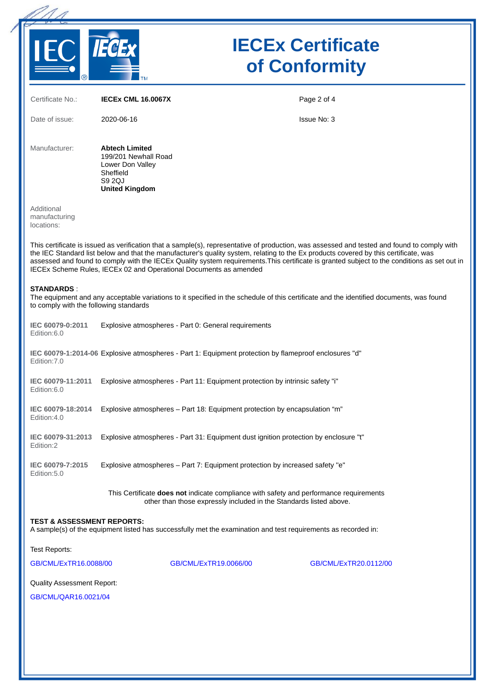

# **IECEx Certificate of Conformity**

| Certificate No.:                                            | <b>IECEX CML 16.0067X</b>                                                                                                                                                                                                                                                                                                                                                                                                                                                                                | Page 2 of 4           |
|-------------------------------------------------------------|----------------------------------------------------------------------------------------------------------------------------------------------------------------------------------------------------------------------------------------------------------------------------------------------------------------------------------------------------------------------------------------------------------------------------------------------------------------------------------------------------------|-----------------------|
| Date of issue:                                              | 2020-06-16                                                                                                                                                                                                                                                                                                                                                                                                                                                                                               | <b>Issue No: 3</b>    |
| Manufacturer:                                               | <b>Abtech Limited</b><br>199/201 Newhall Road<br>Lower Don Valley<br>Sheffield<br>S9 2QJ<br><b>United Kingdom</b>                                                                                                                                                                                                                                                                                                                                                                                        |                       |
| Additional<br>manufacturing<br>locations:                   |                                                                                                                                                                                                                                                                                                                                                                                                                                                                                                          |                       |
|                                                             | This certificate is issued as verification that a sample(s), representative of production, was assessed and tested and found to comply with<br>the IEC Standard list below and that the manufacturer's quality system, relating to the Ex products covered by this certificate, was<br>assessed and found to comply with the IECEx Quality system requirements. This certificate is granted subject to the conditions as set out in<br>IECEx Scheme Rules, IECEx 02 and Operational Documents as amended |                       |
| <b>STANDARDS:</b><br>to comply with the following standards | The equipment and any acceptable variations to it specified in the schedule of this certificate and the identified documents, was found                                                                                                                                                                                                                                                                                                                                                                  |                       |
| IEC 60079-0:2011<br>Edition:6.0                             | Explosive atmospheres - Part 0: General requirements                                                                                                                                                                                                                                                                                                                                                                                                                                                     |                       |
| Edition: 7.0                                                | IEC 60079-1:2014-06 Explosive atmospheres - Part 1: Equipment protection by flameproof enclosures "d"                                                                                                                                                                                                                                                                                                                                                                                                    |                       |
| IEC 60079-11:2011<br>Edition:6.0                            | Explosive atmospheres - Part 11: Equipment protection by intrinsic safety "i"                                                                                                                                                                                                                                                                                                                                                                                                                            |                       |
| IEC 60079-18:2014<br>Edition:4.0                            | Explosive atmospheres – Part 18: Equipment protection by encapsulation "m"                                                                                                                                                                                                                                                                                                                                                                                                                               |                       |
| IEC 60079-31:2013<br>Edition:2                              | Explosive atmospheres - Part 31: Equipment dust ignition protection by enclosure "t"                                                                                                                                                                                                                                                                                                                                                                                                                     |                       |
| IEC 60079-7:2015<br>Edition: 5.0                            | Explosive atmospheres - Part 7: Equipment protection by increased safety "e"                                                                                                                                                                                                                                                                                                                                                                                                                             |                       |
|                                                             | This Certificate does not indicate compliance with safety and performance requirements<br>other than those expressly included in the Standards listed above.                                                                                                                                                                                                                                                                                                                                             |                       |
| <b>TEST &amp; ASSESSMENT REPORTS:</b>                       | A sample(s) of the equipment listed has successfully met the examination and test requirements as recorded in:                                                                                                                                                                                                                                                                                                                                                                                           |                       |
| Test Reports:                                               |                                                                                                                                                                                                                                                                                                                                                                                                                                                                                                          |                       |
| GB/CML/ExTR16.0088/00                                       | GB/CML/ExTR19.0066/00                                                                                                                                                                                                                                                                                                                                                                                                                                                                                    | GB/CML/ExTR20.0112/00 |
| <b>Quality Assessment Report:</b>                           |                                                                                                                                                                                                                                                                                                                                                                                                                                                                                                          |                       |
| GB/CML/QAR16.0021/04                                        |                                                                                                                                                                                                                                                                                                                                                                                                                                                                                                          |                       |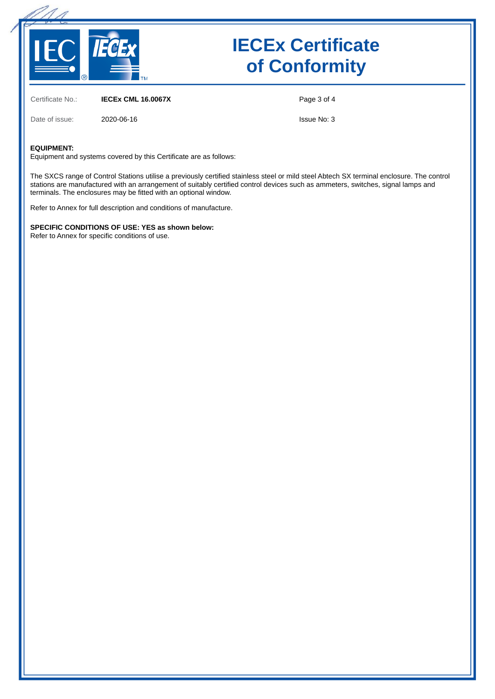

# **IECEx Certificate of Conformity**

Certificate No.: **IECEx CML 16.0067X**

Date of issue: 2020-06-16

Page 3 of 4

Issue No: 3

#### **EQUIPMENT:**

Equipment and systems covered by this Certificate are as follows:

The SXCS range of Control Stations utilise a previously certified stainless steel or mild steel Abtech SX terminal enclosure. The control stations are manufactured with an arrangement of suitably certified control devices such as ammeters, switches, signal lamps and terminals. The enclosures may be fitted with an optional window.

Refer to Annex for full description and conditions of manufacture.

**SPECIFIC CONDITIONS OF USE: YES as shown below:** Refer to Annex for specific conditions of use.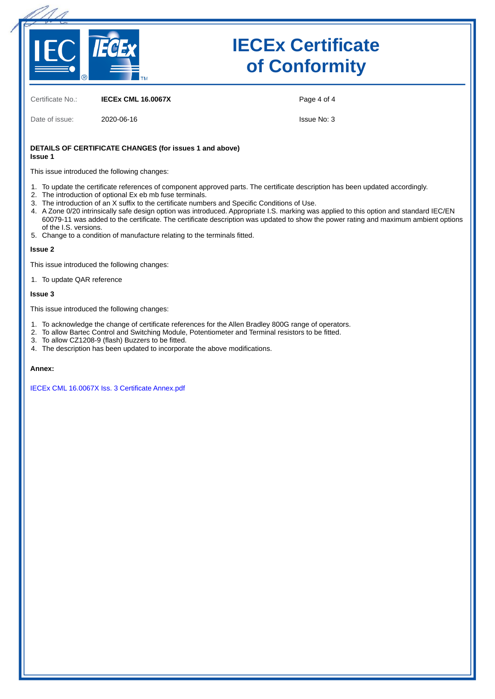

# **IECEx Certificate of Conformity**

Certificate No.: **IECEx CML 16.0067X**

Date of issue: 2020-06-16

Page 4 of 4

Issue No: 3

#### **DETAILS OF CERTIFICATE CHANGES (for issues 1 and above) Issue 1**

This issue introduced the following changes:

- 1. To update the certificate references of component approved parts. The certificate description has been updated accordingly.
- 2. The introduction of optional Ex eb mb fuse terminals.
- 3. The introduction of an X suffix to the certificate numbers and Specific Conditions of Use.
- 4. A Zone 0/20 intrinsically safe design option was introduced. Appropriate I.S. marking was applied to this option and standard IEC/EN 60079-11 was added to the certificate. The certificate description was updated to show the power rating and maximum ambient options of the I.S. versions.
- 5. Change to a condition of manufacture relating to the terminals fitted.

#### **Issue 2**

This issue introduced the following changes:

1. To update QAR reference

#### **Issue 3**

This issue introduced the following changes:

- 1. To acknowledge the change of certificate references for the Allen Bradley 800G range of operators.
- 2. To allow Bartec Control and Switching Module, Potentiometer and Terminal resistors to be fitted.
- 3. To allow CZ1208-9 (flash) Buzzers to be fitted.
- 4. The description has been updated to incorporate the above modifications.

#### **Annex:**

[IECEx CML 16.0067X Iss. 3 Certificate Annex.pdf](https://www.iecex-certs.com/deliverables/CERT/48048/view)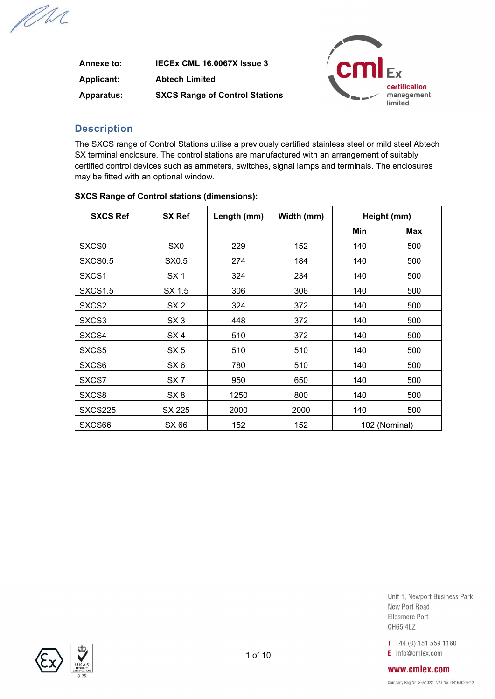PM.

| Annexe to:        | IECEX CML 16.0067X Issue 3            |
|-------------------|---------------------------------------|
| <b>Applicant:</b> | <b>Abtech Limited</b>                 |
| <b>Apparatus:</b> | <b>SXCS Range of Control Stations</b> |



### **Description**

The SXCS range of Control Stations utilise a previously certified stainless steel or mild steel Abtech SX terminal enclosure. The control stations are manufactured with an arrangement of suitably certified control devices such as ammeters, switches, signal lamps and terminals. The enclosures may be fitted with an optional window.

| <b>SXCS Ref</b>     | <b>SX Ref</b>   | Length (mm) | Width (mm) | Height (mm) |               |
|---------------------|-----------------|-------------|------------|-------------|---------------|
|                     |                 |             |            | Min         | <b>Max</b>    |
| SXCS <sub>0</sub>   | SX <sub>0</sub> | 229         | 152        | 140         | 500           |
| SXCS <sub>0.5</sub> | SX0.5           | 274         | 184        | 140         | 500           |
| SXCS1               | SX <sub>1</sub> | 324         | 234        | 140         | 500           |
| SXCS <sub>1.5</sub> | SX 1.5          | 306         | 306        | 140         | 500           |
| SXCS <sub>2</sub>   | SX <sub>2</sub> | 324         | 372        | 140         | 500           |
| SXCS3               | SX <sub>3</sub> | 448         | 372        | 140         | 500           |
| SXCS4               | SX4             | 510         | 372        | 140         | 500           |
| SXCS5               | SX <sub>5</sub> | 510         | 510        | 140         | 500           |
| SXCS <sub>6</sub>   | SX <sub>6</sub> | 780         | 510        | 140         | 500           |
| SXCS7               | SX <sub>7</sub> | 950         | 650        | 140         | 500           |
| SXCS8               | SX <sub>8</sub> | 1250        | 800        | 140         | 500           |
| SXCS225             | SX 225          | 2000        | 2000       | 140         | 500           |
| SXCS66              | SX 66           | 152         | 152        |             | 102 (Nominal) |

### **SXCS Range of Control stations (dimensions):**

Unit 1, Newport Business Park New Port Road Ellesmere Port **CH65 4LZ** 

 $T + 44(0) 151 559 1160$  $E$  info@cmlex.com

## www.cmlex.com

Company Reg No. 8554022 VAT No. GB163023642

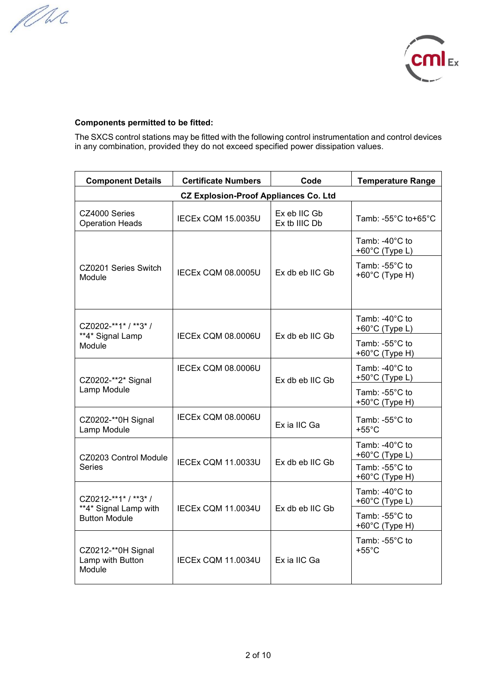MM



### **Components permitted to be fitted:**

The SXCS control stations may be fitted with the following control instrumentation and control devices in any combination, provided they do not exceed specified power dissipation values.

| <b>Component Details</b>                         | <b>Certificate Numbers</b> | Code                          | <b>Temperature Range</b>                              |  |  |  |  |
|--------------------------------------------------|----------------------------|-------------------------------|-------------------------------------------------------|--|--|--|--|
| <b>CZ Explosion-Proof Appliances Co. Ltd</b>     |                            |                               |                                                       |  |  |  |  |
| CZ4000 Series<br><b>Operation Heads</b>          | IECEx CQM 15.0035U         | Ex eb IIC Gb<br>Ex tb IIIC Db | Tamb: -55°C to+65°C                                   |  |  |  |  |
|                                                  |                            |                               | Tamb: -40 $^{\circ}$ C to<br>+60 $°C$ (Type L)        |  |  |  |  |
| CZ0201 Series Switch<br>Module                   | <b>IECEX CQM 08.0005U</b>  | Ex db eb IIC Gb               | Tamb: -55°C to<br>$+60^{\circ}$ C (Type H)            |  |  |  |  |
| CZ0202-**1* / **3* /                             |                            |                               | Tamb: -40°C to<br>+60°C (Type L)                      |  |  |  |  |
| **4* Signal Lamp<br>Module                       | <b>IECEX CQM 08.0006U</b>  | Ex db eb IIC Gb               | Tamb: -55°C to<br>$+60^{\circ}$ C (Type H)            |  |  |  |  |
| CZ0202-**2* Signal                               | IECEx COM 08.0006U         | Ex db eb IIC Gb               | Tamb: -40°C to<br>+50°C (Type L)                      |  |  |  |  |
| Lamp Module                                      |                            |                               | Tamb: $-55^{\circ}$ C to<br>$+50^{\circ}$ C (Type H)  |  |  |  |  |
| CZ0202-**0H Signal<br>Lamp Module                | IECEx COM 08.0006U         | Ex ia IIC Ga                  | Tamb: -55°C to<br>$+55^{\circ}$ C                     |  |  |  |  |
| CZ0203 Control Module                            |                            |                               | Tamb: -40 $^{\circ}$ C to<br>+60 $°C$ (Type L)        |  |  |  |  |
| <b>Series</b>                                    | IECEx CQM 11.0033U         | Ex db eb IIC Gb               | Tamb: -55°C to<br>+60°C (Type H)                      |  |  |  |  |
| CZ0212-**1* / **3* /                             |                            |                               | Tamb: -40 $^{\circ}$ C to<br>$+60^{\circ}$ C (Type L) |  |  |  |  |
| **4* Signal Lamp with<br><b>Button Module</b>    | IECEx CQM 11.0034U         | Ex db eb IIC Gb               | Tamb: -55°C to<br>+60°C (Type H)                      |  |  |  |  |
| CZ0212-**0H Signal<br>Lamp with Button<br>Module | <b>IECEx CQM 11.0034U</b>  | Ex ia IIC Ga                  | Tamb: -55°C to<br>$+55^{\circ}$ C                     |  |  |  |  |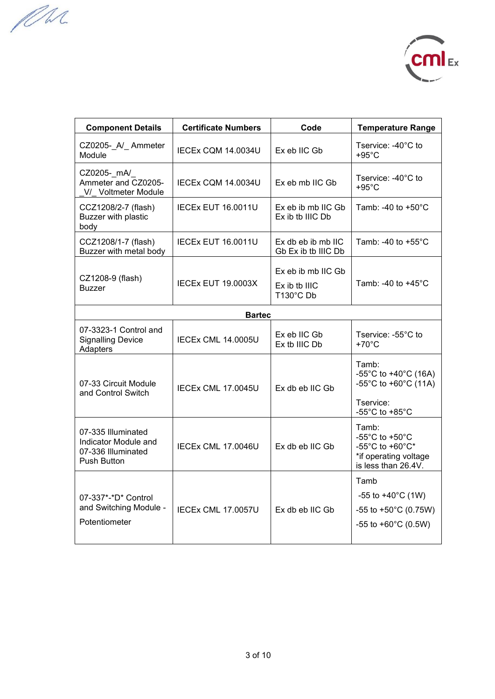MM



| <b>Component Details</b>                                                        | <b>Certificate Numbers</b> | Code                                               | <b>Temperature Range</b>                                                                                     |  |  |
|---------------------------------------------------------------------------------|----------------------------|----------------------------------------------------|--------------------------------------------------------------------------------------------------------------|--|--|
| CZ0205- A/ Ammeter<br>Module                                                    | <b>IECEx CQM 14.0034U</b>  | Ex eb IIC Gb                                       | Tservice: -40°C to<br>$+95^{\circ}$ C                                                                        |  |  |
| CZ0205- mA/<br>Ammeter and CZ0205-<br>V/ Voltmeter Module                       | IECEx CQM 14.0034U         | Ex eb mb IIC Gb                                    | Tservice: -40°C to<br>$+95^{\circ}$ C                                                                        |  |  |
| CCZ1208/2-7 (flash)<br>Buzzer with plastic<br>body                              | <b>IECEX EUT 16.0011U</b>  | $Exeb$ ib mb IIC Gb<br>Ex ib tb IIIC Db            | Tamb: -40 to $+50^{\circ}$ C                                                                                 |  |  |
| CCZ1208/1-7 (flash)<br>Buzzer with metal body                                   | <b>IECEX EUT 16.0011U</b>  | $Ex$ db eb ib mb IIC<br>Gb Ex ib tb IIIC Db        | Tamb: -40 to $+55^{\circ}$ C                                                                                 |  |  |
| CZ1208-9 (flash)<br><b>Buzzer</b>                                               | <b>IECEX EUT 19.0003X</b>  | Ex eb ib mb IIC Gb<br>$Ex$ ib tb IIIC<br>T130°C Db | Tamb: -40 to +45 $^{\circ}$ C                                                                                |  |  |
| <b>Bartec</b>                                                                   |                            |                                                    |                                                                                                              |  |  |
| 07-3323-1 Control and<br><b>Signalling Device</b><br>Adapters                   | <b>IECEX CML 14.0005U</b>  | Ex eb IIC Gb<br>Ex tb IIIC Db                      | Tservice: -55°C to<br>$+70^{\circ}$ C                                                                        |  |  |
| 07-33 Circuit Module<br>and Control Switch                                      | <b>IECEX CML 17.0045U</b>  | Ex db eb IIC Gb                                    | Tamb:<br>-55°C to +40°C (16A)<br>-55°C to +60°C $(11A)$<br>Tservice:<br>-55 $^{\circ}$ C to +85 $^{\circ}$ C |  |  |
| 07-335 Illuminated<br>Indicator Module and<br>07-336 Illuminated<br>Push Button | IECEx CML 17.0046U         | Ex db eb IIC Gb                                    | Tamb:<br>-55°C to +50°C<br>-55°C to +60°C*<br>*if operating voltage<br>is less than 26.4V.                   |  |  |
| 07-337*-*D* Control<br>and Switching Module -<br>Potentiometer                  | <b>IECEx CML 17.0057U</b>  | Ex db eb IIC Gb                                    | Tamb<br>-55 to $+40^{\circ}$ C (1W)<br>-55 to +50 $^{\circ}$ C (0.75W)<br>-55 to +60 $^{\circ}$ C (0.5W)     |  |  |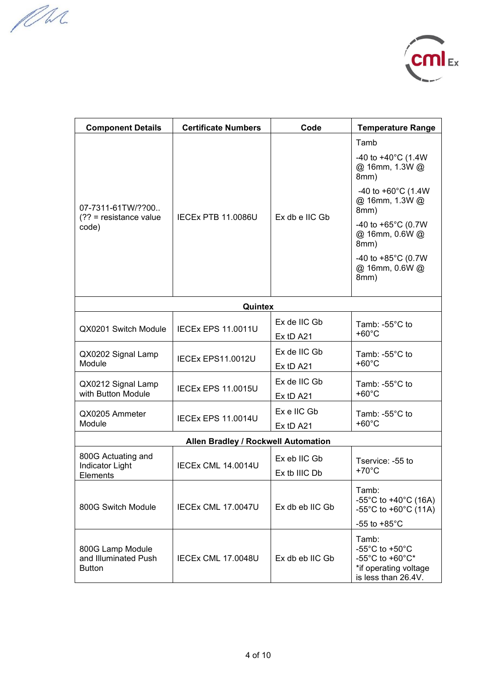MM



| <b>Component Details</b>                                  | <b>Certificate Numbers</b>          | Code                          | <b>Temperature Range</b>                                                                                                               |
|-----------------------------------------------------------|-------------------------------------|-------------------------------|----------------------------------------------------------------------------------------------------------------------------------------|
| 07-7311-61TW/??00<br>$(?? = resistance value$             | <b>IECEX PTB 11.0086U</b>           | Ex db e IIC Gb                | Tamb<br>-40 to +40 $^{\circ}$ C (1.4W<br>@ 16mm, 1.3W @<br>8mm)<br>-40 to +60 $^{\circ}$ C (1.4W<br>@ 16mm, 1.3W @<br>8mm)             |
| code)                                                     |                                     |                               | -40 to +65 $^{\circ}$ C (0.7W<br>@ 16mm, 0.6W @<br>8mm)<br>-40 to $+85^{\circ}$ C (0.7W<br>@ 16mm, 0.6W @<br>8mm)                      |
|                                                           | Quintex                             |                               |                                                                                                                                        |
| QX0201 Switch Module                                      | <b>IECEX EPS 11,0011U</b>           | Ex de IIC Gb<br>Ex tD A21     | Tamb: $-55^{\circ}$ C to<br>$+60^{\circ}$ C                                                                                            |
| QX0202 Signal Lamp<br>Module                              | IECEx EPS11.0012U                   | Ex de IIC Gb<br>Ex tD A21     | Tamb: -55°C to<br>$+60^{\circ}$ C                                                                                                      |
| QX0212 Signal Lamp<br>with Button Module                  | <b>IECEx EPS 11.0015U</b>           | Ex de IIC Gb<br>Ex tD A21     | Tamb: -55°C to<br>$+60^{\circ}$ C                                                                                                      |
| QX0205 Ammeter<br>Module                                  | <b>IECEx EPS 11.0014U</b>           | Ex e IIC Gb<br>Ex tD A21      | Tamb: -55°C to<br>$+60^{\circ}$ C                                                                                                      |
|                                                           | Allen Bradley / Rockwell Automation |                               |                                                                                                                                        |
| 800G Actuating and<br><b>Indicator Light</b><br>Elements  | <b>IECEx CML 14.0014U</b>           | Ex eb IIC Gb<br>Ex tb IIIC Db | Tservice: -55 to<br>$+70^{\circ}$ C                                                                                                    |
| 800G Switch Module                                        | <b>IECEX CML 17.0047U</b>           | Ex db eb IIC Gb               | Tamb:<br>-55°C to +40°C (16A)<br>-55°C to +60°C (11A)<br>-55 to $+85^{\circ}$ C                                                        |
| 800G Lamp Module<br>and Illuminated Push<br><b>Button</b> | <b>IECEX CML 17.0048U</b>           | Ex db eb IIC Gb               | Tamb:<br>-55 $^{\circ}$ C to +50 $^{\circ}$ C<br>-55 $^{\circ}$ C to +60 $^{\circ}$ C*<br>*if operating voltage<br>is less than 26.4V. |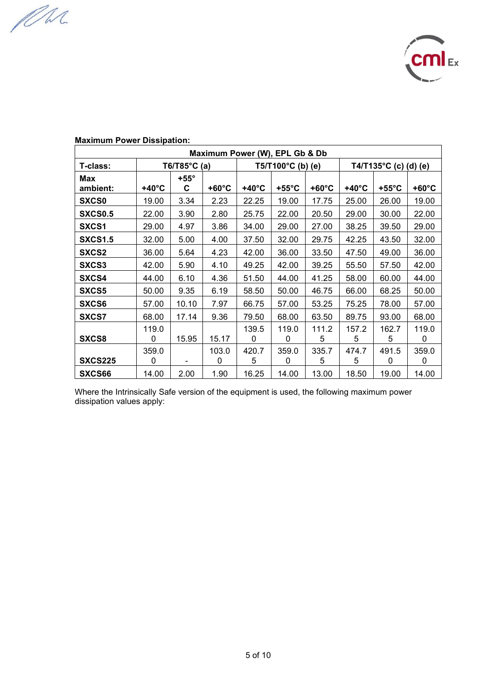MM



| Maximum Power (W), EPL Gb & Db |                 |               |                 |                 |                            |                 |                 |                                  |                 |
|--------------------------------|-----------------|---------------|-----------------|-----------------|----------------------------|-----------------|-----------------|----------------------------------|-----------------|
| T-class:                       | T6/T85°C (a)    |               |                 |                 | $T5/T100^{\circ}C$ (b) (e) |                 |                 | T4/T135 $^{\circ}$ C (c) (d) (e) |                 |
| Max                            |                 | $+55^{\circ}$ |                 |                 |                            |                 |                 |                                  |                 |
| ambient:                       | $+40^{\circ}$ C | C             | $+60^{\circ}$ C | $+40^{\circ}$ C | $+55^{\circ}$ C            | $+60^{\circ}$ C | $+40^{\circ}$ C | $+55^{\circ}$ C                  | $+60^{\circ}$ C |
| <b>SXCS0</b>                   | 19.00           | 3.34          | 2.23            | 22.25           | 19.00                      | 17.75           | 25.00           | 26.00                            | 19.00           |
| <b>SXCS0.5</b>                 | 22.00           | 3.90          | 2.80            | 25.75           | 22.00                      | 20.50           | 29.00           | 30.00                            | 22.00           |
| SXCS1                          | 29.00           | 4.97          | 3.86            | 34.00           | 29.00                      | 27.00           | 38.25           | 39.50                            | 29.00           |
| <b>SXCS1.5</b>                 | 32.00           | 5.00          | 4.00            | 37.50           | 32.00                      | 29.75           | 42.25           | 43.50                            | 32.00           |
| SXCS2                          | 36.00           | 5.64          | 4.23            | 42.00           | 36.00                      | 33.50           | 47.50           | 49.00                            | 36.00           |
| <b>SXCS3</b>                   | 42.00           | 5.90          | 4.10            | 49.25           | 42.00                      | 39.25           | 55.50           | 57.50                            | 42.00           |
| <b>SXCS4</b>                   | 44.00           | 6.10          | 4.36            | 51.50           | 44.00                      | 41.25           | 58.00           | 60.00                            | 44.00           |
| <b>SXCS5</b>                   | 50.00           | 9.35          | 6.19            | 58.50           | 50.00                      | 46.75           | 66.00           | 68.25                            | 50.00           |
| <b>SXCS6</b>                   | 57.00           | 10.10         | 7.97            | 66.75           | 57.00                      | 53.25           | 75.25           | 78.00                            | 57.00           |
| <b>SXCS7</b>                   | 68.00           | 17.14         | 9.36            | 79.50           | 68.00                      | 63.50           | 89.75           | 93.00                            | 68.00           |
|                                | 119.0           |               |                 | 139.5           | 119.0                      | 111.2           | 157.2           | 162.7                            | 119.0           |
| SXCS8                          | 0               | 15.95         | 15.17           | 0               | 0                          | 5               | 5               | 5                                | 0               |
|                                | 359.0           |               | 103.0           | 420.7           | 359.0                      | 335.7           | 474.7           | 491.5                            | 359.0           |
| <b>SXCS225</b>                 | 0               |               | 0               | 5               | 0                          | 5               | 5               | $\Omega$                         | 0               |
| SXCS66                         | 14.00           | 2.00          | 1.90            | 16.25           | 14.00                      | 13.00           | 18.50           | 19.00                            | 14.00           |

## **Maximum Power Dissipation:**

Where the Intrinsically Safe version of the equipment is used, the following maximum power dissipation values apply: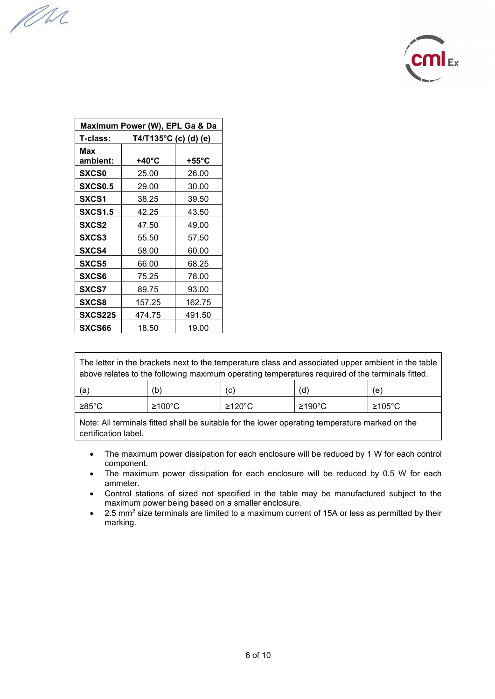MM



| Maximum Power (W), EPL Ga & Da |                       |                  |  |  |  |
|--------------------------------|-----------------------|------------------|--|--|--|
| T-class:                       | T4/T135°C (c) (d) (e) |                  |  |  |  |
| Max                            |                       |                  |  |  |  |
| ambient:                       | +40°C                 | +55 $^{\circ}$ C |  |  |  |
| <b>SXCS0</b>                   | 25.00                 | 26.00            |  |  |  |
| <b>SXCS0.5</b>                 | 29.00                 | 30.00            |  |  |  |
| SXCS1                          | 38.25                 | 39.50            |  |  |  |
| <b>SXCS1.5</b>                 | 42.25                 | 43.50            |  |  |  |
| SXCS2                          | 47.50                 | 49.00            |  |  |  |
| <b>SXCS3</b>                   | 55.50                 | 57.50            |  |  |  |
| <b>SXCS4</b>                   | 58.00                 | 60.00            |  |  |  |
| <b>SXCS5</b>                   | 66.00                 | 68.25            |  |  |  |
| <b>SXCS6</b>                   | 75.25                 | 78.00            |  |  |  |
| <b>SXCS7</b>                   | 89.75                 | 93.00            |  |  |  |
| <b>SXCS8</b>                   | 157.25                | 162.75           |  |  |  |
| <b>SXCS225</b>                 | 474.75                | 491.50           |  |  |  |
| <b>SXCS66</b>                  | 18.50                 | 19.00            |  |  |  |

Г

| The letter in the brackets next to the temperature class and associated upper ambient in the table |  |  |  |  |  |  |  |
|----------------------------------------------------------------------------------------------------|--|--|--|--|--|--|--|
| above relates to the following maximum operating temperatures required of the terminals fitted.    |  |  |  |  |  |  |  |
| (d)<br>(a)<br>(b)<br>(c)<br>(e)                                                                    |  |  |  |  |  |  |  |
| ≥100°C<br>≥190°C<br>≥120°C<br>≥85°C<br>≥105°C                                                      |  |  |  |  |  |  |  |

Note: All terminals fitted shall be suitable for the lower operating temperature marked on the certification label.

- The maximum power dissipation for each enclosure will be reduced by 1 W for each control component.
- The maximum power dissipation for each enclosure will be reduced by 0.5 W for each ammeter.
- Control stations of sized not specified in the table may be manufactured subject to the maximum power being based on a smaller enclosure.
- 2.5 mm<sup>2</sup> size terminals are limited to a maximum current of 15A or less as permitted by their marking.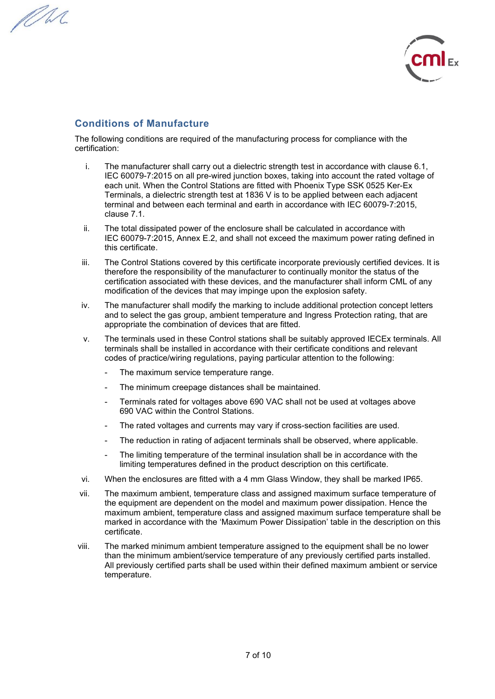MM



### **Conditions of Manufacture**

The following conditions are required of the manufacturing process for compliance with the certification:

- i. The manufacturer shall carry out a dielectric strength test in accordance with clause 6.1, IEC 60079-7:2015 on all pre-wired junction boxes, taking into account the rated voltage of each unit. When the Control Stations are fitted with Phoenix Type SSK 0525 Ker-Ex Terminals, a dielectric strength test at 1836 V is to be applied between each adjacent terminal and between each terminal and earth in accordance with IEC 60079-7:2015, clause 7.1.
- ii. The total dissipated power of the enclosure shall be calculated in accordance with IEC 60079-7:2015, Annex E.2, and shall not exceed the maximum power rating defined in this certificate.
- iii. The Control Stations covered by this certificate incorporate previously certified devices. It is therefore the responsibility of the manufacturer to continually monitor the status of the certification associated with these devices, and the manufacturer shall inform CML of any modification of the devices that may impinge upon the explosion safety.
- iv. The manufacturer shall modify the marking to include additional protection concept letters and to select the gas group, ambient temperature and Ingress Protection rating, that are appropriate the combination of devices that are fitted.
- v. The terminals used in these Control stations shall be suitably approved IECEx terminals. All terminals shall be installed in accordance with their certificate conditions and relevant codes of practice/wiring regulations, paying particular attention to the following:
	- The maximum service temperature range.
	- The minimum creepage distances shall be maintained.
	- Terminals rated for voltages above 690 VAC shall not be used at voltages above 690 VAC within the Control Stations.
	- The rated voltages and currents may vary if cross-section facilities are used.
	- The reduction in rating of adjacent terminals shall be observed, where applicable.
	- The limiting temperature of the terminal insulation shall be in accordance with the limiting temperatures defined in the product description on this certificate.
- vi. When the enclosures are fitted with a 4 mm Glass Window, they shall be marked IP65.
- vii. The maximum ambient, temperature class and assigned maximum surface temperature of the equipment are dependent on the model and maximum power dissipation. Hence the maximum ambient, temperature class and assigned maximum surface temperature shall be marked in accordance with the 'Maximum Power Dissipation' table in the description on this certificate.
- viii. The marked minimum ambient temperature assigned to the equipment shall be no lower than the minimum ambient/service temperature of any previously certified parts installed. All previously certified parts shall be used within their defined maximum ambient or service temperature.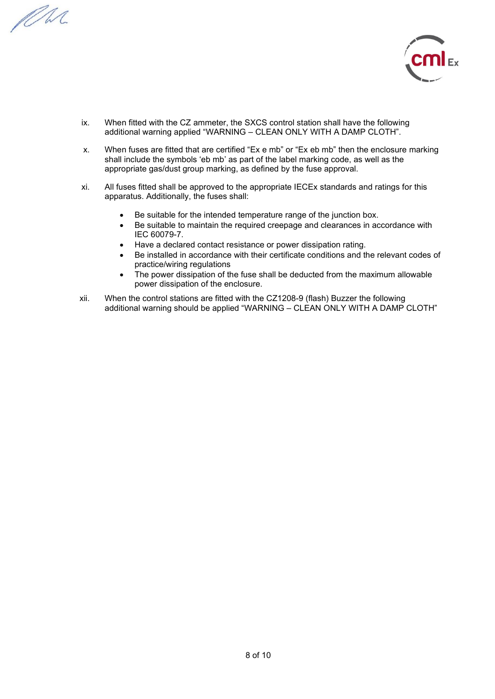PM.



- ix. When fitted with the CZ ammeter, the SXCS control station shall have the following additional warning applied "WARNING – CLEAN ONLY WITH A DAMP CLOTH".
- x. When fuses are fitted that are certified "Ex e mb" or "Ex eb mb" then the enclosure marking shall include the symbols 'eb mb' as part of the label marking code, as well as the appropriate gas/dust group marking, as defined by the fuse approval.
- xi. All fuses fitted shall be approved to the appropriate IECEx standards and ratings for this apparatus. Additionally, the fuses shall:
	- Be suitable for the intended temperature range of the junction box.
	- Be suitable to maintain the required creepage and clearances in accordance with IEC 60079-7.
	- Have a declared contact resistance or power dissipation rating.
	- Be installed in accordance with their certificate conditions and the relevant codes of practice/wiring regulations
	- The power dissipation of the fuse shall be deducted from the maximum allowable power dissipation of the enclosure.
- xii. When the control stations are fitted with the CZ1208-9 (flash) Buzzer the following additional warning should be applied "WARNING – CLEAN ONLY WITH A DAMP CLOTH"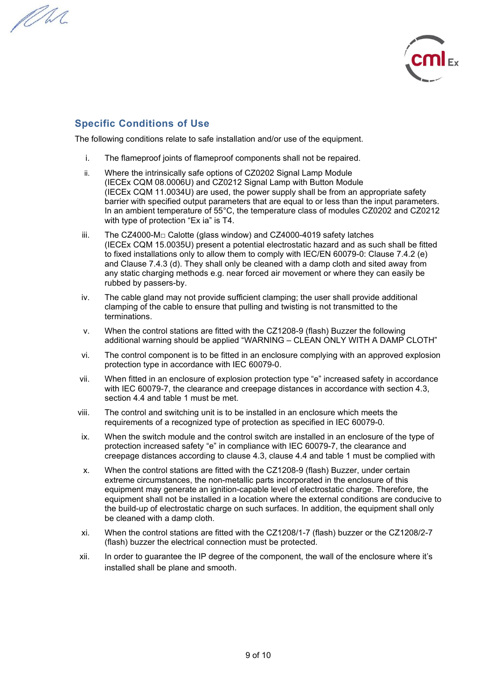PM.



## **Specific Conditions of Use**

The following conditions relate to safe installation and/or use of the equipment.

- i. The flameproof joints of flameproof components shall not be repaired.
- ii. Where the intrinsically safe options of CZ0202 Signal Lamp Module (IECEx CQM 08.0006U) and CZ0212 Signal Lamp with Button Module (IECEx CQM 11.0034U) are used, the power supply shall be from an appropriate safety barrier with specified output parameters that are equal to or less than the input parameters. In an ambient temperature of 55°C, the temperature class of modules CZ0202 and CZ0212 with type of protection "Ex ia" is T4.
- iii. The CZ4000-M□ Calotte (glass window) and CZ4000-4019 safety latches (IECEx CQM 15.0035U) present a potential electrostatic hazard and as such shall be fitted to fixed installations only to allow them to comply with IEC/EN 60079-0: Clause 7.4.2 (e) and Clause 7.4.3 (d). They shall only be cleaned with a damp cloth and sited away from any static charging methods e.g. near forced air movement or where they can easily be rubbed by passers-by.
- iv. The cable gland may not provide sufficient clamping; the user shall provide additional clamping of the cable to ensure that pulling and twisting is not transmitted to the terminations.
- v. When the control stations are fitted with the CZ1208-9 (flash) Buzzer the following additional warning should be applied "WARNING – CLEAN ONLY WITH A DAMP CLOTH"
- vi. The control component is to be fitted in an enclosure complying with an approved explosion protection type in accordance with IEC 60079-0.
- vii. When fitted in an enclosure of explosion protection type "e" increased safety in accordance with IEC 60079-7, the clearance and creepage distances in accordance with section 4.3, section 4.4 and table 1 must be met.
- viii. The control and switching unit is to be installed in an enclosure which meets the requirements of a recognized type of protection as specified in IEC 60079-0.
- ix. When the switch module and the control switch are installed in an enclosure of the type of protection increased safety "e" in compliance with IEC 60079-7, the clearance and creepage distances according to clause 4.3, clause 4.4 and table 1 must be complied with
- x. When the control stations are fitted with the CZ1208-9 (flash) Buzzer, under certain extreme circumstances, the non-metallic parts incorporated in the enclosure of this equipment may generate an ignition-capable level of electrostatic charge. Therefore, the equipment shall not be installed in a location where the external conditions are conducive to the build-up of electrostatic charge on such surfaces. In addition, the equipment shall only be cleaned with a damp cloth.
- xi. When the control stations are fitted with the CZ1208/1-7 (flash) buzzer or the CZ1208/2-7 (flash) buzzer the electrical connection must be protected.
- xii. In order to guarantee the IP degree of the component, the wall of the enclosure where it's installed shall be plane and smooth.